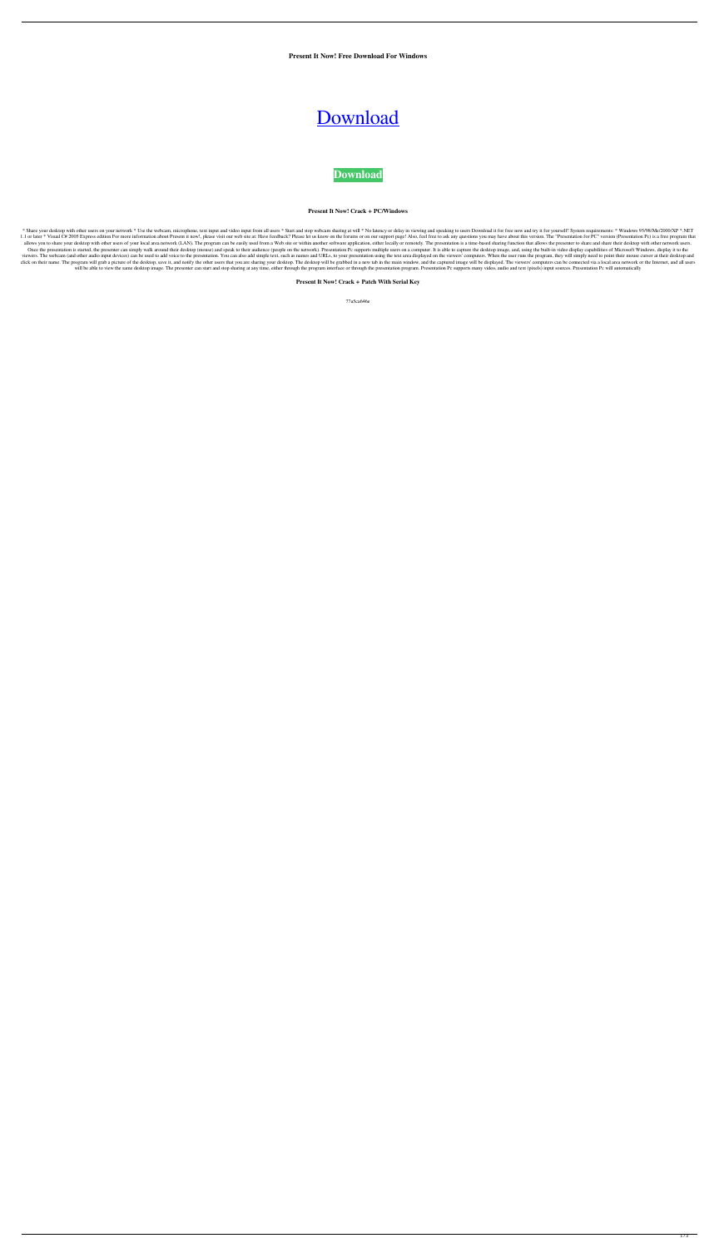**Present It Now! Free Download For Windows**

## [Download](http://evacdir.com/?with=UHJlc2VudCBpdCBub3chUHJ/elroy/eldora/&gainful=ZG93bmxvYWR8Q0czTVdkaWJIeDhNVFkxTkRVeU1qRXhNSHg4TWpVNU1IeDhLRTBwSUZkdmNtUndjbVZ6Y3lCYldFMU1VbEJESUZZeUlGQkVSbDA)

**[Download](http://evacdir.com/?with=UHJlc2VudCBpdCBub3chUHJ/elroy/eldora/&gainful=ZG93bmxvYWR8Q0czTVdkaWJIeDhNVFkxTkRVeU1qRXhNSHg4TWpVNU1IeDhLRTBwSUZkdmNtUndjbVZ6Y3lCYldFMU1VbEJESUZZeUlGQkVSbDA)**

**Present It Now! Crack + PC/Windows**

\* Share your desktop with other users on your network \* Use the webcam, microphone, text input and video input from all users \* Start and stop webcam sharing at will \* No latency or delay in viewing and speaking to users D 1.1 or later \* Visual C# 2005 Express edition For more information about Present it now!, please visit our web site at: Have feedback? Please let us know on the forums or on our support page! Also, feel free to ask any que allows you to share your desktop with other users of your local area network (LAN). The program can be easily used from a Web site or within another software application, either locally or remotely. The presentation is a t Once the presentation is started, the presenter can simply walk around their desktop (mouse) and speak to their audience (people on the network). Presentation Pc supports multiple users on a computer. It is able to capture viewers. The webcam (and other audio input devices) can be used to add voice to the presentation. You can also add simple text, such as names and URLs, to your presentation using the text area displayed on the viewers' com click on their name. The program will grab a picture of the desktop, save it, and notify the other users that you are sharing your desktop. The desktop will be grabbed in a new tab in the main window, and the captured imag will be able to view the same desktop image. The presenter can start and stop sharing at any time, either through the program interface or through the presentation program. Presentation Pc supports many video, audio and te

**Present It Now! Crack + Patch With Serial Key**

77a5ca646e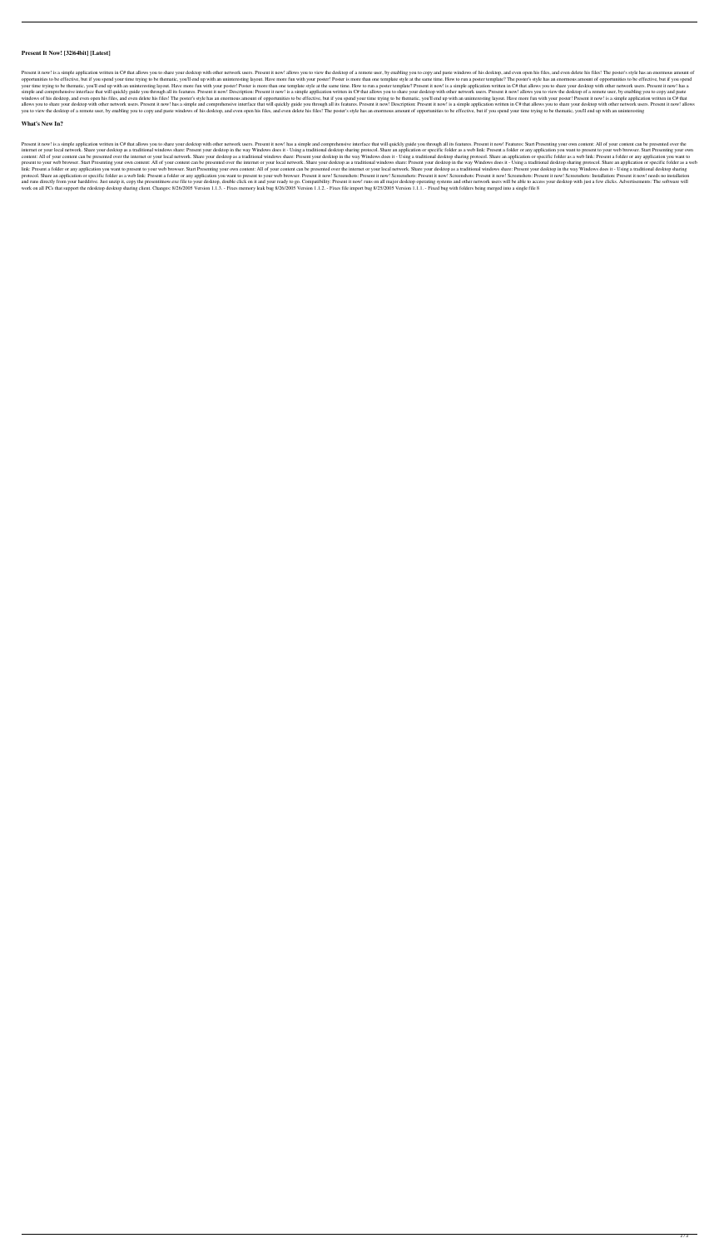## **Present It Now! [32|64bit] [Latest]**

Present it now! is a simple application written in C# that allows you to share your desktop with other network users. Present it now! allows you to view the desktop of a remote user, by enabling you to copy and paste windo opportunities to be effective, but if you spend your time trying to be thematic, you'll end up with an uninteresting layout. Have more fun with your poster! Poster is more than one template style at the same time. How to r your time trying to be thematic, you'll end up with an uninteresting layout. Have more fun with your poster! Poster is more than one template style at the same time. How to run a poster template? Present it now! is a simpl simple and comprehensive interface that will quickly guide you through all its features. Present it now! Description: Present it now! is a simple application written in C# that allows you to share your desktop with other n windows of his desktop, and even open his files, and even delete his files! The poster's style has an enormous amount of opportunities to be effective, but if you spend your time trying to be thematic, you'll end up with a allows you to share your desktop with other network users. Present it now! has a simple and comprehensive interface that will quickly guide you through all its features. Present it now! Description: Present it now! is a si you to view the desktop of a remote user, by enabling you to copy and paste windows of his desktop, and even open his files, and even delete his files! The poster's style has an enormous amount of opportunities to be effec

## **What's New In?**

Present it now! is a simple application written in C# that allows you to share your desktop with other network users. Present it now! has a simple and comprehensive interface that will quickly guide you through all its fea internet or your local network. Share your desktop as a traditional windows share: Present your desktop in the way Windows does it - Using a traditional desktop pharing protocol. Share an application or specific folder as content: All of your content can be presented over the internet or your local network. Share your desktop as a traditional windows share: Present your desktop in the way Windows does it - Using a traditional desktop sharin present to your web browser. Start Presenting your own content: All of your content can be presented over the internet or your local network. Share your desktop as a traditional windows share: Present your desktop in the w link: Present a folder or any application you want to present to your web browser. Start Presenting your own content: All of your content can be presented over the internet or your local network. Share your desktop as a tr protocol. Share an application or specific folder as a web link: Present a folder or any application you want to present to your web browser. Present it now! Screenshots: Present it now! Screenshots: Present it now! Screen and runs directly from your harddrive. Just unzip it, copy the presentitnow.exe file to your desktop, double click on it and your ready to go. Compatibility: Present it now! runs on all major desktop operating systems and work on all PCs that support the rdesktop desktop sharing client. Changes: 8/26/2005 Version 1.1.3. - Fixes memory leak bug 8/26/2005 Version 1.1.2. - Fixes file import bug 8/25/2005 Version 1.1.1. - Fixed bug with folders